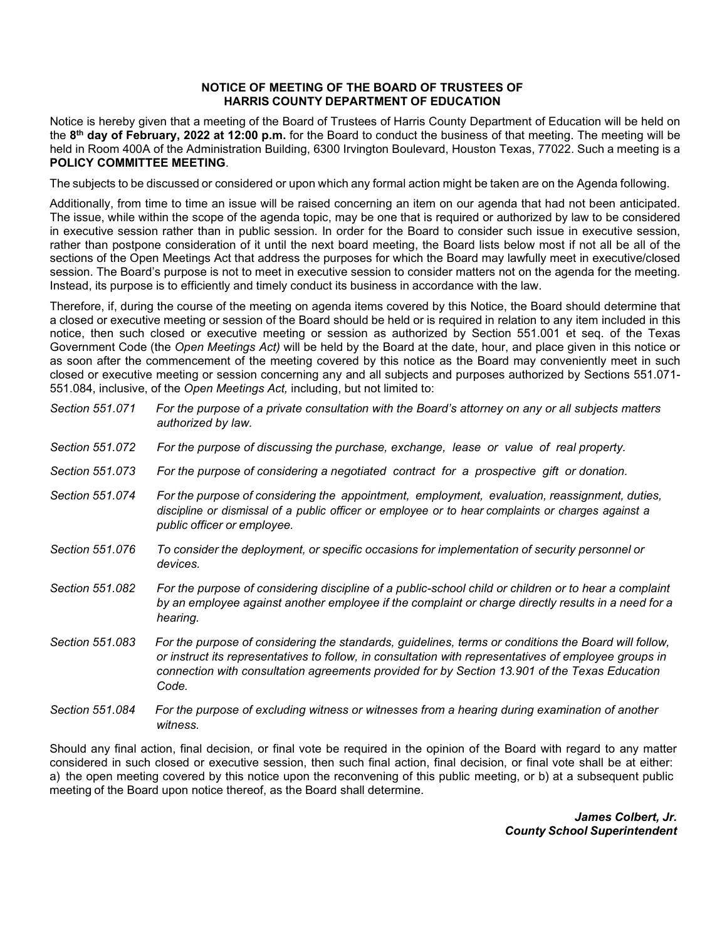## **NOTICE OF MEETING OF THE BOARD OF TRUSTEES OF HARRIS COUNTY DEPARTMENT OF EDUCATION**

Notice is hereby given that a meeting of the Board of Trustees of Harris County Department of Education will be held on the **8th day of February, 2022 at 12:00 p.m.** for the Board to conduct the business of that meeting. The meeting will be held in Room 400A of the Administration Building, 6300 Irvington Boulevard, Houston Texas, 77022. Such a meeting is a **POLICY COMMITTEE MEETING**.

The subjects to be discussed or considered or upon which any formal action might be taken are on the Agenda following.

Additionally, from time to time an issue will be raised concerning an item on our agenda that had not been anticipated. The issue, while within the scope of the agenda topic, may be one that is required or authorized by law to be considered in executive session rather than in public session. In order for the Board to consider such issue in executive session, rather than postpone consideration of it until the next board meeting, the Board lists below most if not all be all of the sections of the Open Meetings Act that address the purposes for which the Board may lawfully meet in executive/closed session. The Board's purpose is not to meet in executive session to consider matters not on the agenda for the meeting. Instead, its purpose is to efficiently and timely conduct its business in accordance with the law.

Therefore, if, during the course of the meeting on agenda items covered by this Notice, the Board should determine that a closed or executive meeting or session of the Board should be held or is required in relation to any item included in this notice, then such closed or executive meeting or session as authorized by Section 551.001 et seq. of the Texas Government Code (the *Open Meetings Act)* will be held by the Board at the date, hour, and place given in this notice or as soon after the commencement of the meeting covered by this notice as the Board may conveniently meet in such closed or executive meeting or session concerning any and all subjects and purposes authorized by Sections 551.071- 551.084, inclusive, of the *Open Meetings Act,* including, but not limited to:

| Section 551.071 | For the purpose of a private consultation with the Board's attorney on any or all subjects matters<br>authorized by law.                                                                                                                                                                                                |
|-----------------|-------------------------------------------------------------------------------------------------------------------------------------------------------------------------------------------------------------------------------------------------------------------------------------------------------------------------|
| Section 551.072 | For the purpose of discussing the purchase, exchange, lease or value of real property.                                                                                                                                                                                                                                  |
| Section 551,073 | For the purpose of considering a negotiated contract for a prospective gift or donation.                                                                                                                                                                                                                                |
| Section 551.074 | For the purpose of considering the appointment, employment, evaluation, reassignment, duties,<br>discipline or dismissal of a public officer or employee or to hear complaints or charges against a<br>public officer or employee.                                                                                      |
| Section 551.076 | To consider the deployment, or specific occasions for implementation of security personnel or<br>devices.                                                                                                                                                                                                               |
| Section 551.082 | For the purpose of considering discipline of a public-school child or children or to hear a complaint<br>by an employee against another employee if the complaint or charge directly results in a need for a<br>hearing.                                                                                                |
| Section 551.083 | For the purpose of considering the standards, guidelines, terms or conditions the Board will follow,<br>or instruct its representatives to follow, in consultation with representatives of employee groups in<br>connection with consultation agreements provided for by Section 13.901 of the Texas Education<br>Code. |
| Section 551,084 | For the purpose of excluding witness or witnesses from a hearing during examination of another                                                                                                                                                                                                                          |

Should any final action, final decision, or final vote be required in the opinion of the Board with regard to any matter considered in such closed or executive session, then such final action, final decision, or final vote shall be at either: a) the open meeting covered by this notice upon the reconvening of this public meeting, or b) at a subsequent public meeting of the Board upon notice thereof, as the Board shall determine.

*witness.*

*James Colbert, Jr. County School Superintendent*